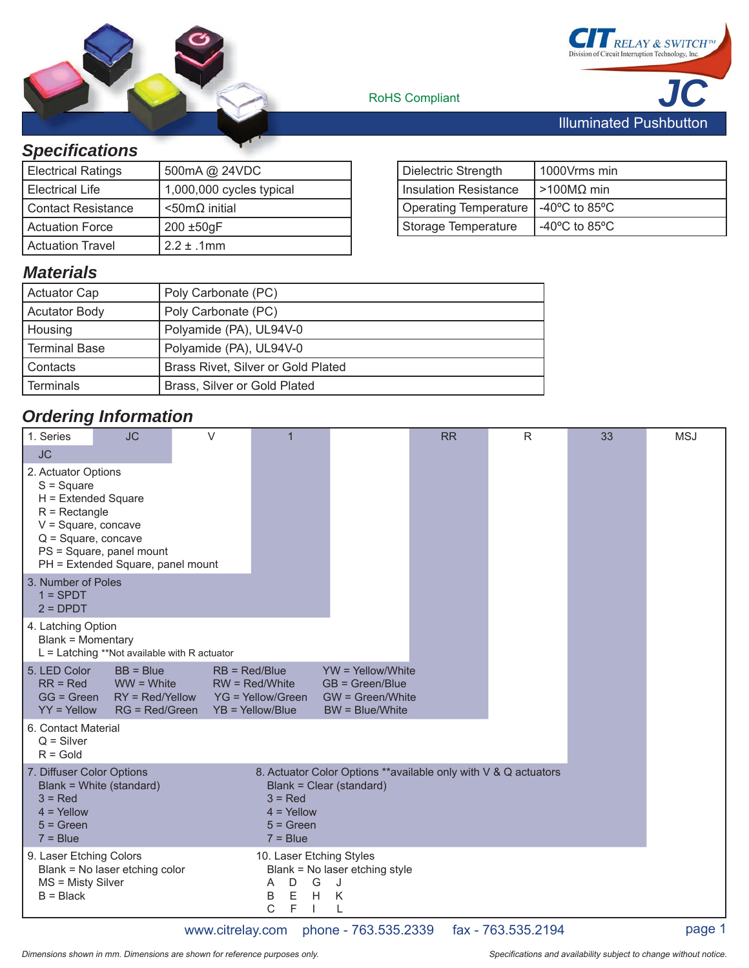



**RoHS** Compliant

#### *Specifi cations*

| <b>Electrical Ratings</b> | 500mA @ 24VDC            |
|---------------------------|--------------------------|
| Electrical Life           | 1,000,000 cycles typical |
| Contact Resistance        | $<$ 50m $\Omega$ initial |
| I Actuation Force         | 200 ±50gF                |
| <b>Actuation Travel</b>   | $2.2 \pm .1$ mm          |

| Dielectric Strength                   | 1000Vrms min                                        |
|---------------------------------------|-----------------------------------------------------|
| Insulation Resistance                 | >100MΩ min                                          |
| Operating Temperature   -40°C to 85°C |                                                     |
| Storage Temperature                   | -40 $\mathrm{^{\circ}C}$ to 85 $\mathrm{^{\circ}C}$ |

#### *Materials*

| <b>Actuator Cap</b>  | Poly Carbonate (PC)                |
|----------------------|------------------------------------|
| <b>Acutator Body</b> | Poly Carbonate (PC)                |
| Housing              | Polyamide (PA), UL94V-0            |
| <b>Terminal Base</b> | Polyamide (PA), UL94V-0            |
| Contacts             | Brass Rivet, Silver or Gold Plated |
| Terminals            | Brass, Silver or Gold Plated       |

### *Ordering Information*

| 1. Series                                                                                                                                                                                                                                                                | <b>JC</b>                                                          | $\vee$          | 1                                                                |                                                                                   | <b>RR</b> | $\mathsf{R}$ | 33 | <b>MSJ</b> |
|--------------------------------------------------------------------------------------------------------------------------------------------------------------------------------------------------------------------------------------------------------------------------|--------------------------------------------------------------------|-----------------|------------------------------------------------------------------|-----------------------------------------------------------------------------------|-----------|--------------|----|------------|
| <b>JC</b>                                                                                                                                                                                                                                                                |                                                                    |                 |                                                                  |                                                                                   |           |              |    |            |
| 2. Actuator Options<br>$S = Square$<br>H = Extended Square<br>$R =$ Rectangle<br>$V = Square$ , concave<br>$Q = Square$ , concave                                                                                                                                        | PS = Square, panel mount<br>PH = Extended Square, panel mount      |                 |                                                                  |                                                                                   |           |              |    |            |
| 3. Number of Poles<br>$1 =$ SPDT<br>$2 = D$ PDT                                                                                                                                                                                                                          |                                                                    |                 |                                                                  |                                                                                   |           |              |    |            |
| 4. Latching Option<br>Blank = Momentary                                                                                                                                                                                                                                  | $L =$ Latching **Not available with R actuator                     |                 |                                                                  |                                                                                   |           |              |    |            |
| 5. LED Color<br>$RR = Red$<br>$GG = Green$<br>$YY = Yellow$                                                                                                                                                                                                              | $BB = Blue$<br>$WW = White$<br>$RY = Red/Yellow$<br>RG = Red/Green | $RB = Red/Blue$ | $RW = Red/White$<br>YG = Yellow/Green<br>$YB = Yellow/Blue$      | $YW =$ Yellow/White<br>$GB = Green/Blue$<br>GW = Green/White<br>$BW = Blue/White$ |           |              |    |            |
| 6. Contact Material<br>$Q =$ Silver<br>$R =$ Gold                                                                                                                                                                                                                        |                                                                    |                 |                                                                  |                                                                                   |           |              |    |            |
| 7. Diffuser Color Options<br>8. Actuator Color Options **available only with V & Q actuators<br>Blank = White (standard)<br>Blank = Clear (standard)<br>$3 = Red$<br>$3 = Red$<br>$4 =$ Yellow<br>$4 =$ Yellow<br>$5 = Green$<br>$5 = Green$<br>$7 = Blue$<br>$7 = Blue$ |                                                                    |                 |                                                                  |                                                                                   |           |              |    |            |
| 9. Laser Etching Colors<br>MS = Misty Silver<br>$B = Black$                                                                                                                                                                                                              | Blank = No laser etching color                                     |                 | 10. Laser Etching Styles<br>D<br>G<br>A<br>Ε<br>H<br>B<br>C<br>F | Blank = No laser etching style<br>J<br>K                                          |           |              |    |            |

www.citrelay.com phone - 763.535.2339 fax - 763.535.2194 page 1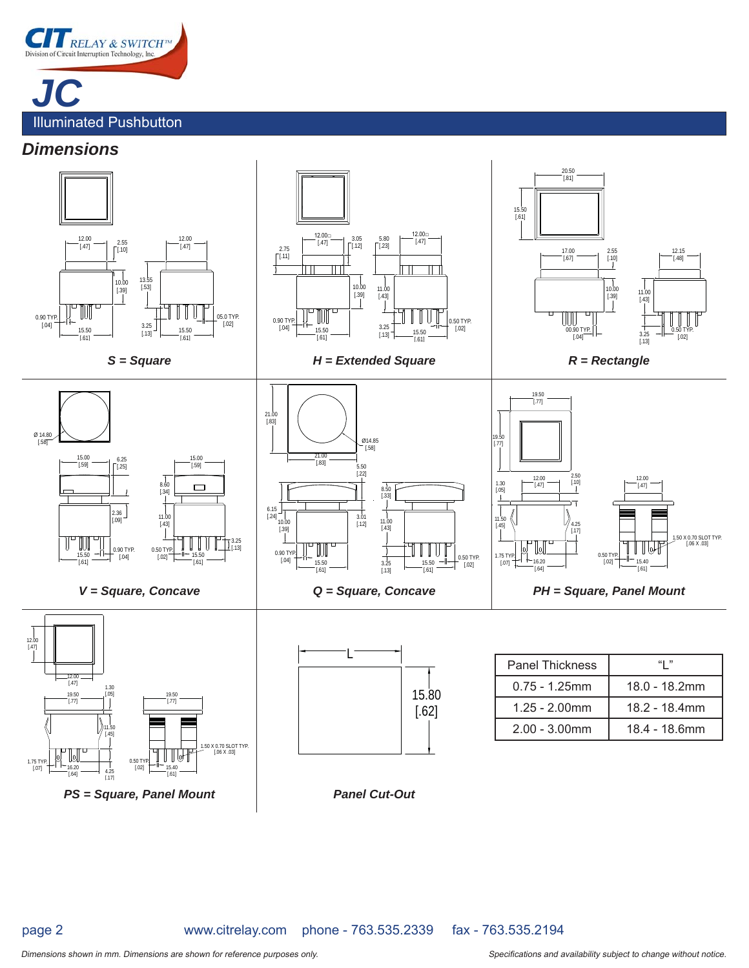

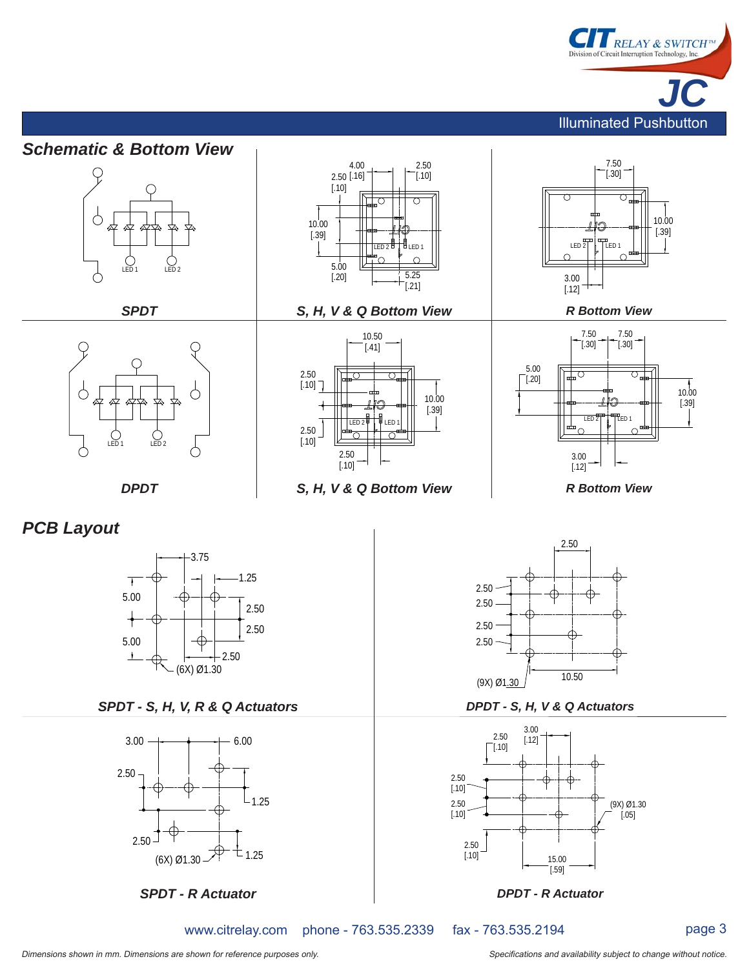